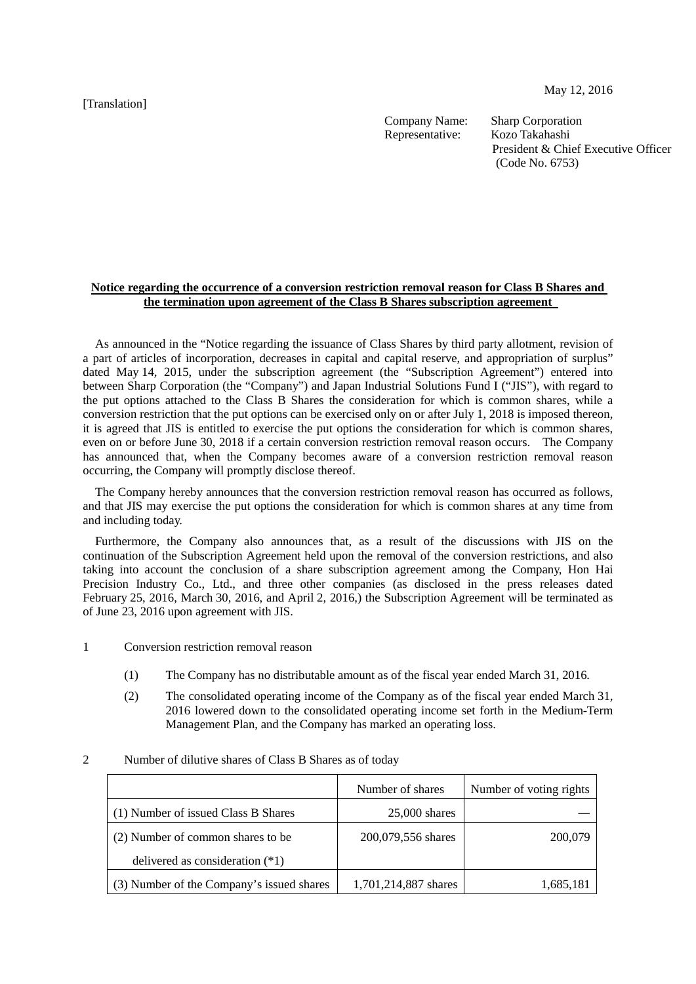[Translation]

May 12, 2016

Company Name: Sharp Corporation Representative: Kozo Takahashi

President & Chief Executive Officer (Code No. 6753)

## **Notice regarding the occurrence of a conversion restriction removal reason for Class B Shares and the termination upon agreement of the Class B Shares subscription agreement**

As announced in the "Notice regarding the issuance of Class Shares by third party allotment, revision of a part of articles of incorporation, decreases in capital and capital reserve, and appropriation of surplus" dated May 14, 2015, under the subscription agreement (the "Subscription Agreement") entered into between Sharp Corporation (the "Company") and Japan Industrial Solutions Fund I ("JIS"), with regard to the put options attached to the Class B Shares the consideration for which is common shares, while a conversion restriction that the put options can be exercised only on or after July 1, 2018 is imposed thereon, it is agreed that JIS is entitled to exercise the put options the consideration for which is common shares, even on or before June 30, 2018 if a certain conversion restriction removal reason occurs. The Company has announced that, when the Company becomes aware of a conversion restriction removal reason occurring, the Company will promptly disclose thereof.

The Company hereby announces that the conversion restriction removal reason has occurred as follows, and that JIS may exercise the put options the consideration for which is common shares at any time from and including today.

Furthermore, the Company also announces that, as a result of the discussions with JIS on the continuation of the Subscription Agreement held upon the removal of the conversion restrictions, and also taking into account the conclusion of a share subscription agreement among the Company, Hon Hai Precision Industry Co., Ltd., and three other companies (as disclosed in the press releases dated February 25, 2016, March 30, 2016, and April 2, 2016,) the Subscription Agreement will be terminated as of June 23, 2016 upon agreement with JIS.

1 Conversion restriction removal reason

- (1) The Company has no distributable amount as of the fiscal year ended March 31, 2016.
- (2) The consolidated operating income of the Company as of the fiscal year ended March 31, 2016 lowered down to the consolidated operating income set forth in the Medium-Term Management Plan, and the Company has marked an operating loss.

|                                           | Number of shares     | Number of voting rights |
|-------------------------------------------|----------------------|-------------------------|
| (1) Number of issued Class B Shares       | $25,000$ shares      |                         |
| (2) Number of common shares to be         | 200,079,556 shares   | 200,079                 |
| delivered as consideration $(*1)$         |                      |                         |
| (3) Number of the Company's issued shares | 1,701,214,887 shares | 1,685,181               |

## 2 Number of dilutive shares of Class B Shares as of today